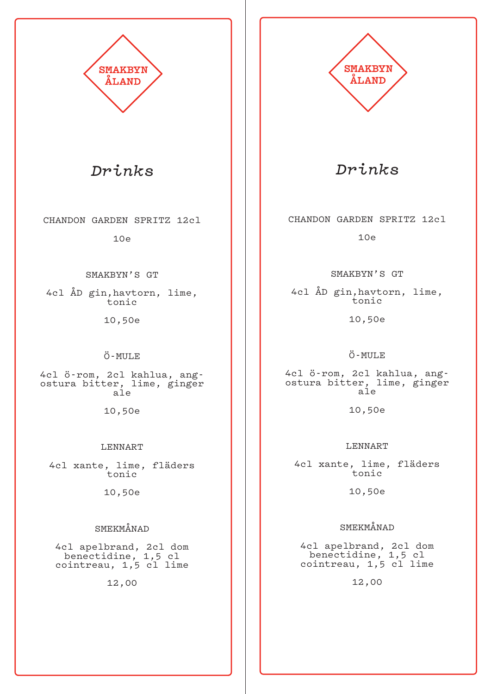

*Drinks*

CHANDON GARDEN SPRITZ 12cl

10e

SMAKBYN'S GT

4cl ÅD gin,havtorn, lime, tonic

10,50e

#### Ö-MULE

4cl ö-rom, 2cl kahlua, ang-<br>ostura bitter, lime, ginger ale

10,50e

#### LENNART

4cl xante, lime, fläders tonic

10,50e

### SMEKMÅNAD

4cl apelbrand, 2cl dom benectidine, 1,5 cl cointreau, 1,5 cl lime

12,00



*Drinks*

CHANDON GARDEN SPRITZ 12cl

10e

SMAKBYN'S GT

4cl ÅD gin,havtorn, lime, tonic

10,50e

### Ö-MULE

4cl ö-rom, 2cl kahlua, ang- ostura bitter, lime, ginger ale

10,50e

#### LENNART

4cl xante, lime, fläders tonic

10,50e

### SMEKMÅNAD

4cl apelbrand, 2cl dom benectidine, 1,5 cl cointreau, 1,5 cl lime

12,00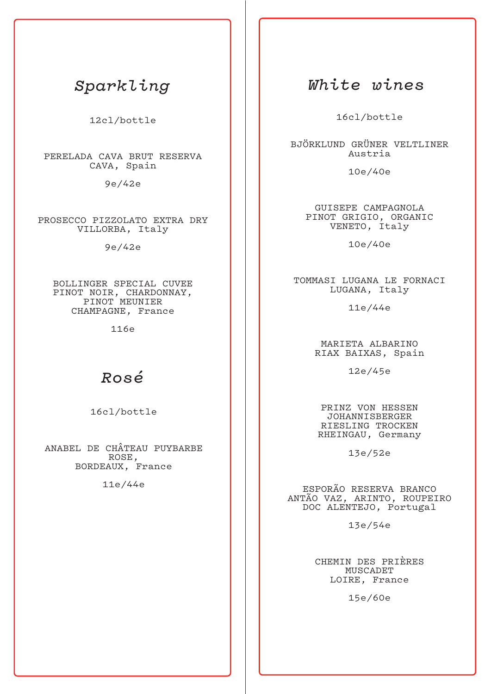## *Sparkling*

12cl/bottle

PERELADA CAVA BRUT RESERVA CAVA, Spain

9e/42e

PROSECCO PIZZOLATO EXTRA DRY VILLORBA, Italy

9e/42e

BOLLINGER SPECIAL CUVEE PINOT NOIR, CHARDONNAY, PINOT MEUNIER CHAMPAGNE, France

116e

### *Rosé*

16cl/bottle

ANABEL DE CHÂTEAU PUYBARBE ROSE, BORDEAUX, France

11e/44e

## *White wines*

16cl/bottle

BJÖRKLUND GRÜNER VELTLINER Austria

10e/40e

GUISEPE CAMPAGNOLA PINOT GRIGIO, ORGANIC VENETO, Italy

10e/40e

TOMMASI LUGANA LE FORNACI LUGANA, Italy

11e/44e

MARIETA ALBARINO RIAX BAIXAS, Spain

12e/45e

PRINZ VON HESSEN JOHANNISBERGER RIESLING TROCKEN RHEINGAU, Germany

13e/52e

ESPORÃO RESERVA BRANCO ANTÃO VAZ, ARINTO, ROUPEIRO DOC ALENTEJO, Portugal

13e/54e

CHEMIN DES PRIÈRES MUSCADET LOIRE, France

15e/60e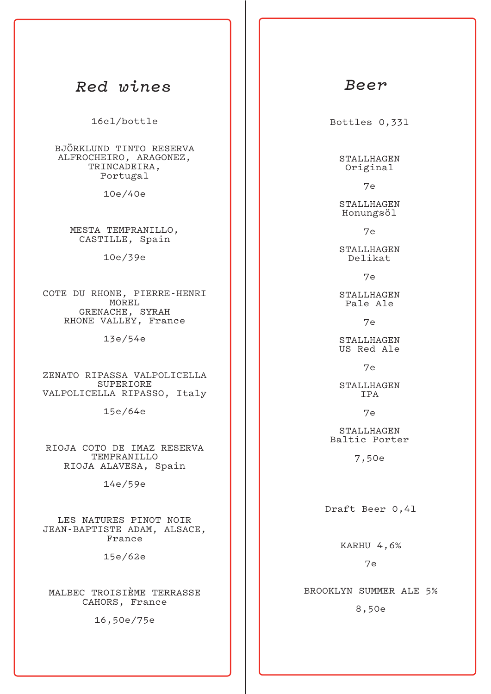### *Red wines*

16cl/bottle

BJÖRKLUND TINTO RESERVA ALFROCHEIRO, ARAGONEZ, TRINCADEIRA, Portugal

10e/40e

MESTA TEMPRANILLO, CASTILLE, Spain

10e/39e

COTE DU RHONE, PIERRE-HENRI MOREL GRENACHE, SYRAH RHONE VALLEY, France

13e/54e

ZENATO RIPASSA VALPOLICELLA SUPERIORE VALPOLICELLA RIPASSO, Italy

15e/64e

RIOJA COTO DE IMAZ RESERVA TEMPRANILLO RIOJA ALAVESA, Spain

14e/59e

LES NATURES PINOT NOIR JEAN-BAPTISTE ADAM, ALSACE, France

15e/62e

MALBEC TROISIÈME TERRASSE CAHORS, France

16,50e/75e

### *Beer*

Bottles 0,33l

STALLHAGEN Original

7e

STALLHAGEN Honungsöl

7e

STALLHAGEN Delikat

7e

STALLHAGEN Pale Ale

7e

STALLHAGEN US Red Ale

7e

STALLHAGEN IPA

7e

STALLHAGEN Baltic Porter

7,50e

Draft Beer 0,4l

KARHU 4,6%

7e

BROOKLYN SUMMER ALE 5%

8,50e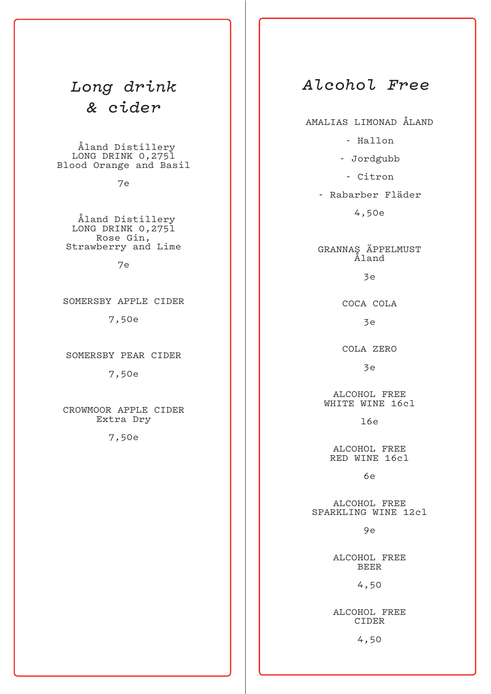# *Long drink & cider*

 Åland Distillery LONG DRINK 0,2751 Blood Orange and Basil

7e

 Åland Distillery LONG DRINK 0,275l Rose Gin, Strawberry and Lime

7e

SOMERSBY APPLE CIDER

7,50e

SOMERSBY PEAR CIDER

7,50e

CROWMOOR APPLE CIDER Extra Dry

7,50e

## *Alcohol Free*

AMALIAS LIMONAD ÅLAND

- Hallon

- Jordgubb

- Citron

- Rabarber Fläder

4,50e

GRANNAS ÄPPELMUST Åland

3e

COCA COLA

3e

COLA ZERO

3e

ALCOHOL FREE WHITE WINE 16cl

 $16e$ 

ALCOHOL FREE RED WINE 16cl

6e

ALCOHOL FREE SPARKLING WINE 12cl

9e

ALCOHOL FREE BEER

4,50

ALCOHOL FREE CIDER

4,50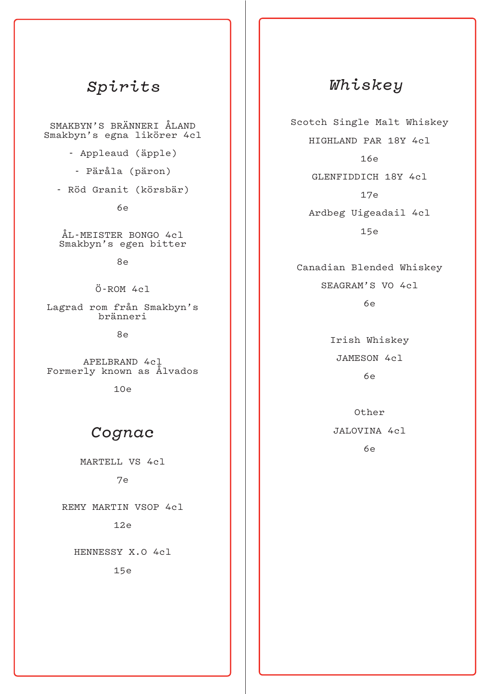## *Spirits*

SMAKBYN'S BRÄNNERI ÅLAND Smakbyn's egna likörer 4cl

- Appleaud (äpple)
- Päråla (päron)
- Röd Granit (körsbär)

6e

ÅL-MEISTER BONGO 4cl Smakbyn's egen bitter

8e

Ö-ROM 4cl

Lagrad rom från Smakbyn's bränneri

8e

APELBRAND 4cl Formerly known as Ålvados

10e

## *Cognac*

MARTELL VS 4cl

### 7e

REMY MARTIN VSOP 4cl

12e

HENNESSY X.O 4cl

15e

# *Whiskey*

Scotch Single Malt Whiskey HIGHLAND PAR 18Y 4cl 16e GLENFIDDICH 18Y 4cl 17e Ardbeg Uigeadail 4cl 15e

Canadian Blended Whiskey SEAGRAM'S VO 4cl  $6e$ 

> Irish Whiskey JAMESON 4cl 6e

Other JALOVINA 4cl

6e